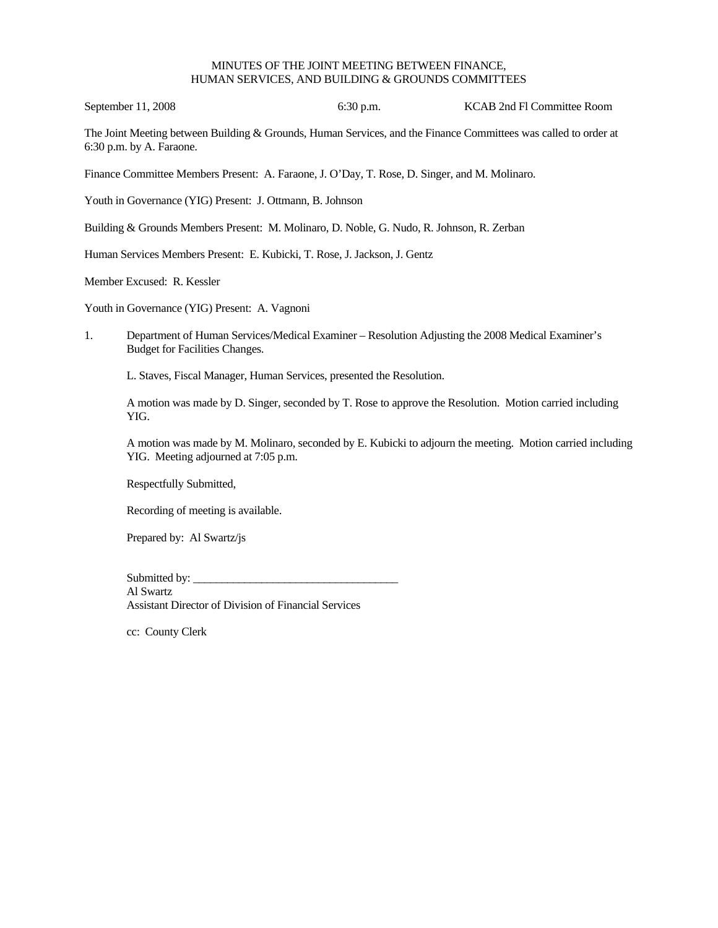## MINUTES OF THE JOINT MEETING BETWEEN FINANCE, HUMAN SERVICES, AND BUILDING & GROUNDS COMMITTEES

September 11, 2008 6:30 p.m. KCAB 2nd Fl Committee Room

The Joint Meeting between Building & Grounds, Human Services, and the Finance Committees was called to order at 6:30 p.m. by A. Faraone.

Finance Committee Members Present: A. Faraone, J. O'Day, T. Rose, D. Singer, and M. Molinaro.

Youth in Governance (YIG) Present: J. Ottmann, B. Johnson

Building & Grounds Members Present: M. Molinaro, D. Noble, G. Nudo, R. Johnson, R. Zerban

Human Services Members Present: E. Kubicki, T. Rose, J. Jackson, J. Gentz

Member Excused: R. Kessler

Youth in Governance (YIG) Present: A. Vagnoni

1. Department of Human Services/Medical Examiner – Resolution Adjusting the 2008 Medical Examiner's Budget for Facilities Changes.

L. Staves, Fiscal Manager, Human Services, presented the Resolution.

 A motion was made by D. Singer, seconded by T. Rose to approve the Resolution. Motion carried including YIG.

A motion was made by M. Molinaro, seconded by E. Kubicki to adjourn the meeting. Motion carried including YIG. Meeting adjourned at 7:05 p.m.

Respectfully Submitted,

Recording of meeting is available.

Prepared by: Al Swartz/js

Submitted by: Al Swartz Assistant Director of Division of Financial Services

cc: County Clerk